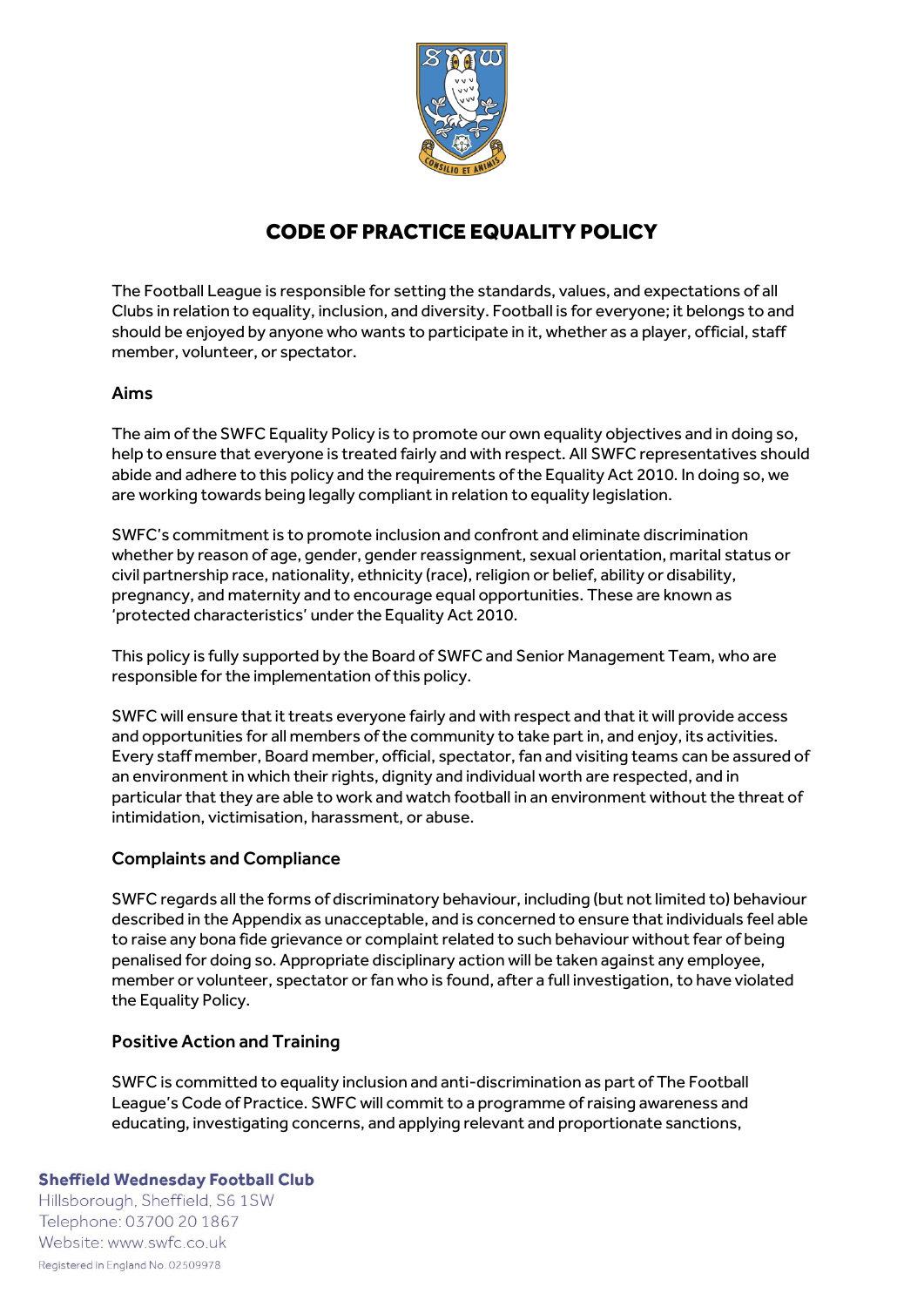

# CODE OF PRACTICE EQUALITY POLICY

The Football League is responsible for setting the standards, values, and expectations of all Clubs in relation to equality, inclusion, and diversity. Football is for everyone; it belongs to and should be enjoyed by anyone who wants to participate in it, whether as a player, official, staff member, volunteer, or spectator.

# Aims

The aim of the SWFC Equality Policy is to promote our own equality objectives and in doing so, help to ensure that everyone is treated fairly and with respect. All SWFC representatives should abide and adhere to this policy and the requirements of the Equality Act 2010. In doing so, we are working towards being legally compliant in relation to equality legislation.

SWFC's commitment is to promote inclusion and confront and eliminate discrimination whether by reason of age, gender, gender reassignment, sexual orientation, marital status or civil partnership race, nationality, ethnicity (race), religion or belief, ability or disability, pregnancy, and maternity and to encourage equal opportunities. These are known as 'protected characteristics' under the Equality Act 2010.

This policy is fully supported by the Board of SWFC and Senior Management Team, who are responsible for the implementation of this policy.

SWFC will ensure that it treats everyone fairly and with respect and that it will provide access and opportunities for all members of the community to take part in, and enjoy, its activities. Every staff member, Board member, official, spectator, fan and visiting teams can be assured of an environment in which their rights, dignity and individual worth are respected, and in particular that they are able to work and watch football in an environment without the threat of intimidation, victimisation, harassment, or abuse.

### Complaints and Compliance

SWFC regards all the forms of discriminatory behaviour, including (but not limited to) behaviour described in the Appendix as unacceptable, and is concerned to ensure that individuals feel able to raise any bona fide grievance or complaint related to such behaviour without fear of being penalised for doing so. Appropriate disciplinary action will be taken against any employee, member or volunteer, spectator or fan who is found, after a full investigation, to have violated the Equality Policy.

### Positive Action and Training

SWFC is committed to equality inclusion and anti-discrimination as part of The Football League's Code of Practice. SWFC will commit to a programme of raising awareness and educating, investigating concerns, and applying relevant and proportionate sanctions,

#### **Sheffield Wednesday Football Club**

Hillsborough, Sheffield, S6 1SW Telephone: 03700 20 1867 Website: www.swfc.co.uk Registered in England No. 02509978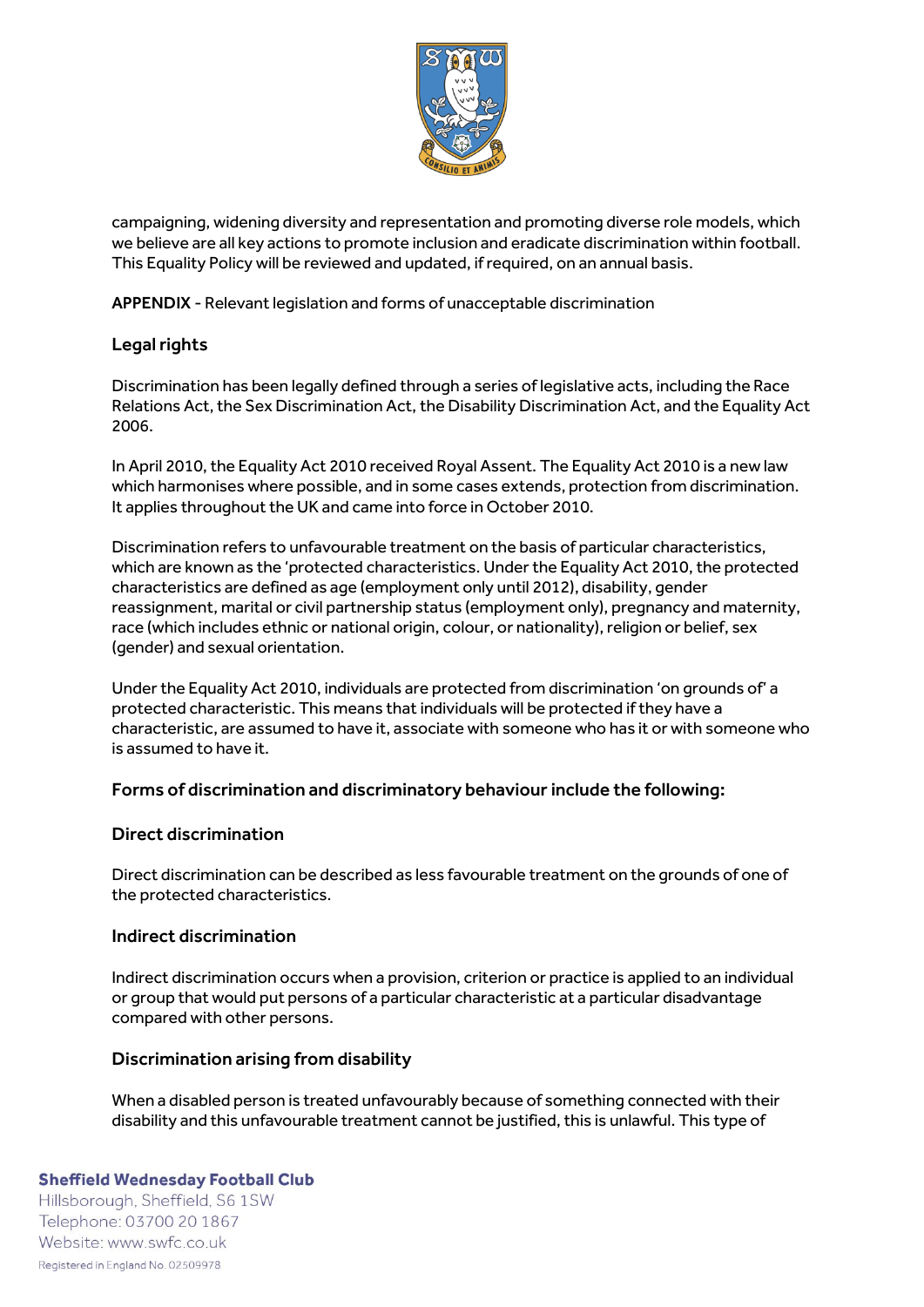

campaigning, widening diversity and representation and promoting diverse role models, which we believe are all key actions to promote inclusion and eradicate discrimination within football. This Equality Policy will be reviewed and updated, if required, on an annual basis.

APPENDIX - Relevant legislation and forms of unacceptable discrimination

# Legal rights

Discrimination has been legally defined through a series of legislative acts, including the Race Relations Act, the Sex Discrimination Act, the Disability Discrimination Act, and the Equality Act 2006.

In April 2010, the Equality Act 2010 received Royal Assent. The Equality Act 2010 is a new law which harmonises where possible, and in some cases extends, protection from discrimination. It applies throughout the UK and came into force in October 2010.

Discrimination refers to unfavourable treatment on the basis of particular characteristics, which are known as the 'protected characteristics. Under the Equality Act 2010, the protected characteristics are defined as age (employment only until 2012), disability, gender reassignment, marital or civil partnership status (employment only), pregnancy and maternity, race (which includes ethnic or national origin, colour, or nationality), religion or belief, sex (gender) and sexual orientation.

Under the Equality Act 2010, individuals are protected from discrimination 'on grounds of' a protected characteristic. This means that individuals will be protected if they have a characteristic, are assumed to have it, associate with someone who has it or with someone who is assumed to have it.

### Forms of discrimination and discriminatory behaviour include the following:

### Direct discrimination

Direct discrimination can be described as less favourable treatment on the grounds of one of the protected characteristics.

### Indirect discrimination

Indirect discrimination occurs when a provision, criterion or practice is applied to an individual or group that would put persons of a particular characteristic at a particular disadvantage compared with other persons.

### Discrimination arising from disability

When a disabled person is treated unfavourably because of something connected with their disability and this unfavourable treatment cannot be justified, this is unlawful. This type of

#### **Sheffield Wednesday Football Club**

Hillsborough, Sheffield, S6 1SW Telephone: 03700 20 1867 Website: www.swfc.co.uk Registered in England No. 02509978